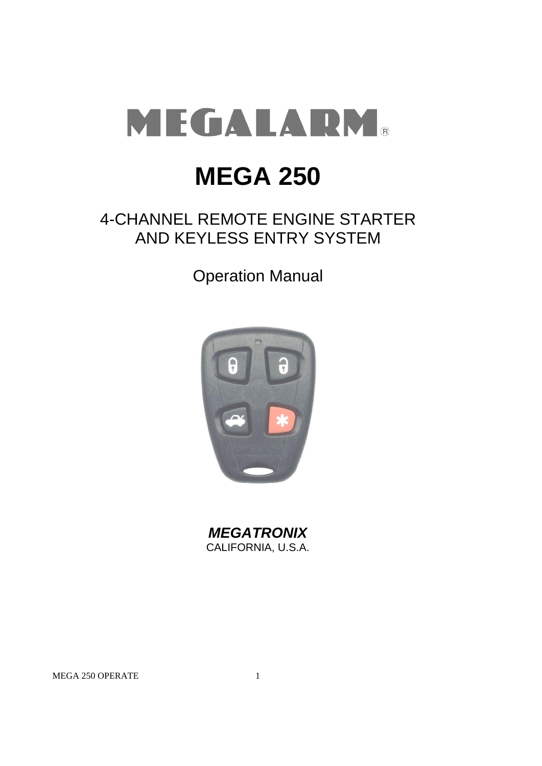

# **MEGA 250**

## 4-CHANNEL REMOTE ENGINE STARTER AND KEYLESS ENTRY SYSTEM

Operation Manual



*MEGATRONIX* CALIFORNIA, U.S.A.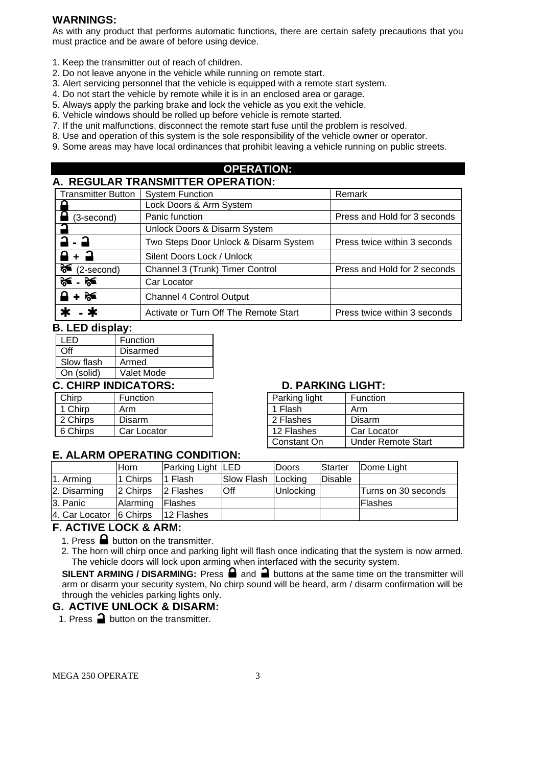## **WARNINGS:**

As with any product that performs automatic functions, there are certain safety precautions that you must practice and be aware of before using device.

- 1. Keep the transmitter out of reach of children.
- 2. Do not leave anyone in the vehicle while running on remote start.
- 3. Alert servicing personnel that the vehicle is equipped with a remote start system.
- 4. Do not start the vehicle by remote while it is in an enclosed area or garage.
- 5. Always apply the parking brake and lock the vehicle as you exit the vehicle.
- 6. Vehicle windows should be rolled up before vehicle is remote started.
- 7. If the unit malfunctions, disconnect the remote start fuse until the problem is resolved.
- 8. Use and operation of this system is the sole responsibility of the vehicle owner or operator.
- 9. Some areas may have local ordinances that prohibit leaving a vehicle running on public streets.

#### **OPERATION: A. REGULAR TRANSMITTER OPERATION:**

| A. ILOVEAR HRABOMI LER VI ERATIOR. |                                       |                              |  |  |  |  |  |  |
|------------------------------------|---------------------------------------|------------------------------|--|--|--|--|--|--|
| <b>Transmitter Button</b>          | <b>System Function</b>                | Remark                       |  |  |  |  |  |  |
|                                    | Lock Doors & Arm System               |                              |  |  |  |  |  |  |
| (3-second)                         | Panic function                        | Press and Hold for 3 seconds |  |  |  |  |  |  |
|                                    | Unlock Doors & Disarm System          |                              |  |  |  |  |  |  |
| $2 - 2$                            | Two Steps Door Unlock & Disarm System | Press twice within 3 seconds |  |  |  |  |  |  |
| . A + →                            | Silent Doors Lock / Unlock            |                              |  |  |  |  |  |  |
| ੇ≤<br>(2-second)                   | Channel 3 (Trunk) Timer Control       | Press and Hold for 2 seconds |  |  |  |  |  |  |
| $\approx$ $\approx$                | Car Locator                           |                              |  |  |  |  |  |  |
| $\mathbf{a} + \mathbf{a}$          | <b>Channel 4 Control Output</b>       |                              |  |  |  |  |  |  |
|                                    | Activate or Turn Off The Remote Start | Press twice within 3 seconds |  |  |  |  |  |  |

## **B. LED display:**

| I FD              | Function        |  |  |  |  |
|-------------------|-----------------|--|--|--|--|
| ∩ff               | <b>Disarmed</b> |  |  |  |  |
| Slow flash        | Armed           |  |  |  |  |
| On (solid)        | Valet Mode      |  |  |  |  |
| CHIRP INDICATORS. |                 |  |  |  |  |

## Chirp | Function | Parking light | Function 1 Chirp | Arm | | 1 Flash | Arm 2 Chirps | Disarm 6 Chirps | Car Locator

## **D. PARKING LIGHT:**

| Parking light | Function                  |  |  |
|---------------|---------------------------|--|--|
| 1 Flash       | Arm                       |  |  |
| 2 Flashes     | Disarm                    |  |  |
| 12 Flashes    | Car Locator               |  |  |
| Constant On   | <b>Under Remote Start</b> |  |  |

## **E. ALARM OPERATING CONDITION:**

|                         | lHorn.   | Parking Light LED |            | <b>Doors</b> | Starter | Dome Light          |
|-------------------------|----------|-------------------|------------|--------------|---------|---------------------|
| 1. Arming               | 1 Chirps | I1 Flash          | Slow Flash | Locking      | Disable |                     |
| 2. Disarming            | 2 Chirps | 2 Flashes         | Off        | Unlocking    |         | Turns on 30 seconds |
| 3. Panic                | Alarming | lFlashes          |            |              |         | <b>Flashes</b>      |
| 4. Car Locator 6 Chirps |          | 12 Flashes        |            |              |         |                     |

## **F. ACTIVE LOCK & ARM:**

1. Press  $\blacksquare$  button on the transmitter.

2. The horn will chirp once and parking light will flash once indicating that the system is now armed. The vehicle doors will lock upon arming when interfaced with the security system.

**SILENT ARMING / DISARMING:** Press  $\bigoplus$  and  $\bigoplus$  buttons at the same time on the transmitter will arm or disarm your security system, No chirp sound will be heard, arm / disarm confirmation will be through the vehicles parking lights only.

## **G. ACTIVE UNLOCK & DISARM:**

1. Press  $\Box$  button on the transmitter.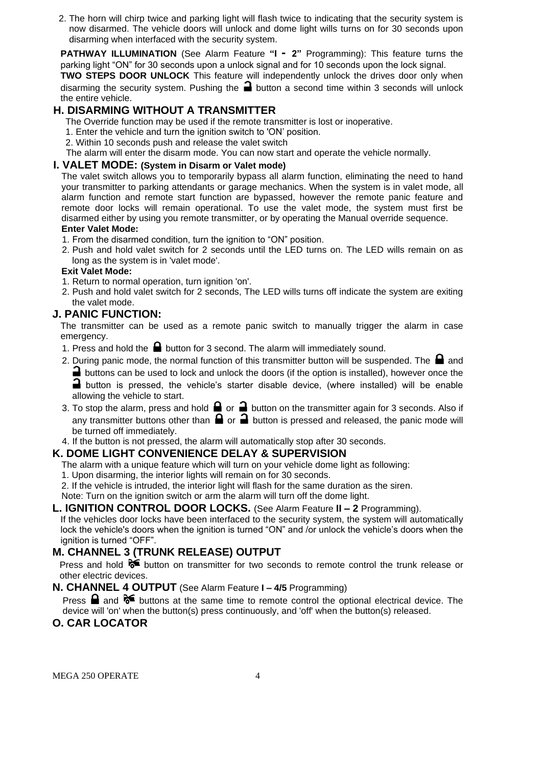2. The horn will chirp twice and parking light will flash twice to indicating that the security system is now disarmed. The vehicle doors will unlock and dome light wills turns on for 30 seconds upon disarming when interfaced with the security system.

**PATHWAY ILLUMINATION** (See Alarm Feature **"I - 2"** Programming): This feature turns the parking light "ON" for 30 seconds upon a unlock signal and for 10 seconds upon the lock signal.

**TWO STEPS DOOR UNLOCK** This feature will independently unlock the drives door only when disarming the security system. Pushing the  $\blacksquare$  button a second time within 3 seconds will unlock the entire vehicle.

## **H. DISARMING WITHOUT A TRANSMITTER**

The Override function may be used if the remote transmitter is lost or inoperative.

- 1. Enter the vehicle and turn the ignition switch to 'ON' position.
- 2. Within 10 seconds push and release the valet switch

The alarm will enter the disarm mode. You can now start and operate the vehicle normally.

## **I. VALET MODE: (System in Disarm or Valet mode)**

The valet switch allows you to temporarily bypass all alarm function, eliminating the need to hand your transmitter to parking attendants or garage mechanics. When the system is in valet mode, all alarm function and remote start function are bypassed, however the remote panic feature and remote door locks will remain operational. To use the valet mode, the system must first be disarmed either by using you remote transmitter, or by operating the Manual override sequence. **Enter Valet Mode:**

- 1. From the disarmed condition, turn the ignition to "ON" position.
- 2. Push and hold valet switch for 2 seconds until the LED turns on. The LED wills remain on as long as the system is in 'valet mode'.

#### **Exit Valet Mode:**

- 1. Return to normal operation, turn ignition 'on'.
- 2. Push and hold valet switch for 2 seconds, The LED wills turns off indicate the system are exiting the valet mode.

## **J. PANIC FUNCTION:**

The transmitter can be used as a remote panic switch to manually trigger the alarm in case emergency.

- 1. Press and hold the  $\blacksquare$  button for 3 second. The alarm will immediately sound.
- 2. During panic mode, the normal function of this transmitter button will be suspended. The  $\blacksquare$  and

**I** buttons can be used to lock and unlock the doors (if the option is installed), however once the button is pressed, the vehicle's starter disable device, (where installed) will be enable allowing the vehicle to start.

- 3. To stop the alarm, press and hold  $\bigoplus$  or  $\bigoplus$  button on the transmitter again for 3 seconds. Also if any transmitter buttons other than  $\blacksquare$  or  $\blacksquare$  button is pressed and released, the panic mode will be turned off immediately.
- 4. If the button is not pressed, the alarm will automatically stop after 30 seconds.

## **K. DOME LIGHT CONVENIENCE DELAY & SUPERVISION**

The alarm with a unique feature which will turn on your vehicle dome light as following:

- 1. Upon disarming, the interior lights will remain on for 30 seconds.
- 2. If the vehicle is intruded, the interior light will flash for the same duration as the siren.

Note: Turn on the ignition switch or arm the alarm will turn off the dome light.

#### **L. IGNITION CONTROL DOOR LOCKS.** (See Alarm Feature **II – 2** Programming).

If the vehicles door locks have been interfaced to the security system, the system will automatically lock the vehicle's doors when the ignition is turned "ON" and /or unlock the vehicle's doors when the ignition is turned "OFF".

## **M. CHANNEL 3 (TRUNK RELEASE) OUTPUT**

Press and hold  $\mathcal{F}$  button on transmitter for two seconds to remote control the trunk release or other electric devices.

## **N. CHANNEL 4 OUTPUT** (See Alarm Feature **I – 4/5** Programming)

Press  $\Box$  and  $\triangleright$  buttons at the same time to remote control the optional electrical device. The device will 'on' when the button(s) press continuously, and 'off' when the button(s) released.

## **O. CAR LOCATOR**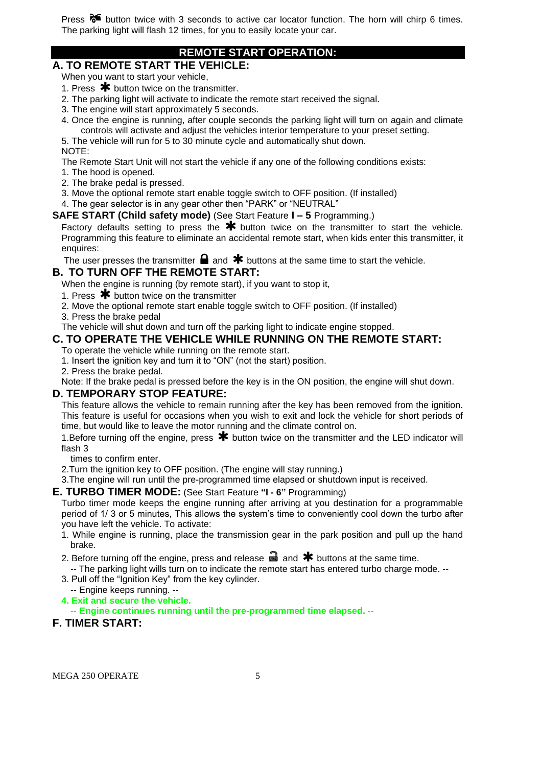Press  $\delta$  button twice with 3 seconds to active car locator function. The horn will chirp 6 times. The parking light will flash 12 times, for you to easily locate your car.

## **REMOTE START OPERATION:**

## **A. TO REMOTE START THE VEHICLE:**

When you want to start your vehicle,

- 1. Press  $*$  button twice on the transmitter.
- 2. The parking light will activate to indicate the remote start received the signal.
- 3. The engine will start approximately 5 seconds.
- 4. Once the engine is running, after couple seconds the parking light will turn on again and climate controls will activate and adjust the vehicles interior temperature to your preset setting.

5. The vehicle will run for 5 to 30 minute cycle and automatically shut down.

NOTE:

The Remote Start Unit will not start the vehicle if any one of the following conditions exists:

1. The hood is opened.

- 2. The brake pedal is pressed.
- 3. Move the optional remote start enable toggle switch to OFF position. (If installed)

4. The gear selector is in any gear other then "PARK" or "NEUTRAL"

**SAFE START (Child safety mode)** (See Start Feature **I – 5** Programming.)

Factory defaults setting to press the  $*$  button twice on the transmitter to start the vehicle. Programming this feature to eliminate an accidental remote start, when kids enter this transmitter, it enquires:

The user presses the transmitter  $\blacksquare$  and  $\clubsuit$  buttons at the same time to start the vehicle.

## **B. TO TURN OFF THE REMOTE START:**

When the engine is running (by remote start), if you want to stop it,

- 1. Press  $*$  button twice on the transmitter
- 2. Move the optional remote start enable toggle switch to OFF position. (If installed)
- 3. Press the brake pedal

The vehicle will shut down and turn off the parking light to indicate engine stopped.

## **C. TO OPERATE THE VEHICLE WHILE RUNNING ON THE REMOTE START:**

To operate the vehicle while running on the remote start.

1. Insert the ignition key and turn it to "ON" (not the start) position.

2. Press the brake pedal.

Note: If the brake pedal is pressed before the key is in the ON position, the engine will shut down.

## **D. TEMPORARY STOP FEATURE:**

This feature allows the vehicle to remain running after the key has been removed from the ignition. This feature is useful for occasions when you wish to exit and lock the vehicle for short periods of time, but would like to leave the motor running and the climate control on.

1.Before turning off the engine, press  $\bigstar$  button twice on the transmitter and the LED indicator will flash 3

times to confirm enter.

2.Turn the ignition key to OFF position. (The engine will stay running.)

3.The engine will run until the pre-programmed time elapsed or shutdown input is received.

#### **E. TURBO TIMER MODE:** (See Start Feature **"I - 6"** Programming)

Turbo timer mode keeps the engine running after arriving at you destination for a programmable period of 1/ 3 or 5 minutes, This allows the system's time to conveniently cool down the turbo after you have left the vehicle. To activate:

- 1. While engine is running, place the transmission gear in the park position and pull up the hand brake.
- 2. Before turning off the engine, press and release  $\blacksquare$  and  $\blacktriangleright$  buttons at the same time.
- -- The parking light wills turn on to indicate the remote start has entered turbo charge mode. --
- 3. Pull off the "Ignition Key" from the key cylinder. -- Engine keeps running. --
- **4. Exit and secure the vehicle.**

**-- Engine continues running until the pre-programmed time elapsed. --**

## **F. TIMER START:**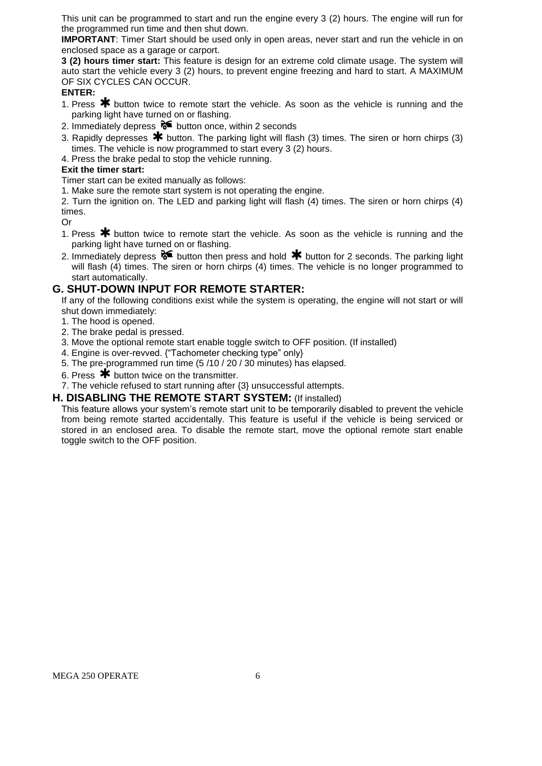This unit can be programmed to start and run the engine every 3 (2) hours. The engine will run for the programmed run time and then shut down.

**IMPORTANT**: Timer Start should be used only in open areas, never start and run the vehicle in on enclosed space as a garage or carport.

**3 (2) hours timer start:** This feature is design for an extreme cold climate usage. The system will auto start the vehicle every 3 (2) hours, to prevent engine freezing and hard to start. A MAXIMUM OF SIX CYCLES CAN OCCUR.

#### **ENTER:**

- 1. Press  $\bigstar$  button twice to remote start the vehicle. As soon as the vehicle is running and the parking light have turned on or flashing.
- 2. Immediately depress  $\delta$  button once, within 2 seconds
- 3. Rapidly depresses  $*$  button. The parking light will flash (3) times. The siren or horn chirps (3) times. The vehicle is now programmed to start every 3 (2) hours.

4. Press the brake pedal to stop the vehicle running.

#### **Exit the timer start:**

Timer start can be exited manually as follows:

1. Make sure the remote start system is not operating the engine.

2. Turn the ignition on. The LED and parking light will flash (4) times. The siren or horn chirps (4) times.

Or

- 1. Press  $\bigstar$  button twice to remote start the vehicle. As soon as the vehicle is running and the parking light have turned on or flashing.
- 2. Immediately depress  $\delta$  button then press and hold  $*$  button for 2 seconds. The parking light will flash (4) times. The siren or horn chirps (4) times. The vehicle is no longer programmed to start automatically.

#### **G. SHUT-DOWN INPUT FOR REMOTE STARTER:**

If any of the following conditions exist while the system is operating, the engine will not start or will shut down immediately:

- 1. The hood is opened.
- 2. The brake pedal is pressed.
- 3. Move the optional remote start enable toggle switch to OFF position. (If installed)
- 4. Engine is over-revved. {"Tachometer checking type" only}
- 5. The pre-programmed run time (5 /10 / 20 / 30 minutes) has elapsed.
- 6. Press  $*$  button twice on the transmitter.

7. The vehicle refused to start running after {3} unsuccessful attempts.

#### **H. DISABLING THE REMOTE START SYSTEM:** (If installed)

This feature allows your system's remote start unit to be temporarily disabled to prevent the vehicle from being remote started accidentally. This feature is useful if the vehicle is being serviced or stored in an enclosed area. To disable the remote start, move the optional remote start enable toggle switch to the OFF position.